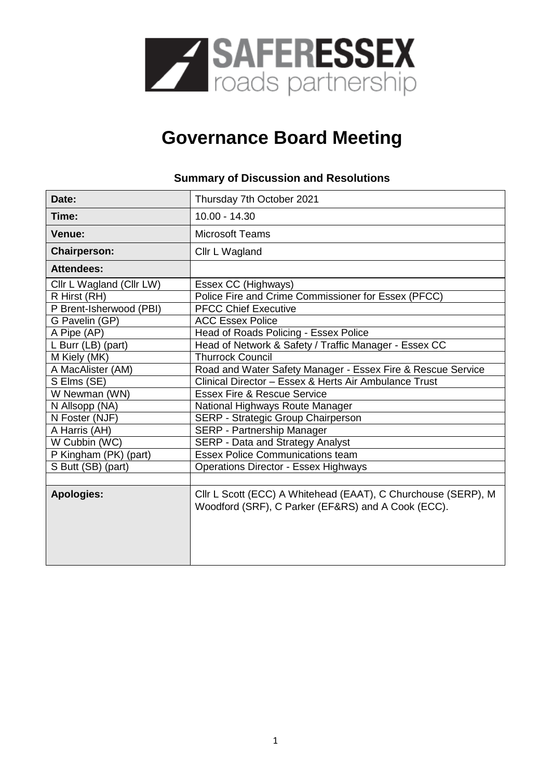

# **Governance Board Meeting**

### **Summary of Discussion and Resolutions**

| Date:                    | Thursday 7th October 2021                                                                                           |
|--------------------------|---------------------------------------------------------------------------------------------------------------------|
| Time:                    | $10.00 - 14.30$                                                                                                     |
| <b>Venue:</b>            | <b>Microsoft Teams</b>                                                                                              |
| <b>Chairperson:</b>      | Cllr L Wagland                                                                                                      |
| <b>Attendees:</b>        |                                                                                                                     |
| Cllr L Wagland (Cllr LW) | Essex CC (Highways)                                                                                                 |
| R Hirst (RH)             | Police Fire and Crime Commissioner for Essex (PFCC)                                                                 |
| P Brent-Isherwood (PBI)  | <b>PFCC Chief Executive</b>                                                                                         |
| G Pavelin (GP)           | <b>ACC Essex Police</b>                                                                                             |
| A Pipe (AP)              | Head of Roads Policing - Essex Police                                                                               |
| L Burr (LB) (part)       | Head of Network & Safety / Traffic Manager - Essex CC                                                               |
| M Kiely (MK)             | <b>Thurrock Council</b>                                                                                             |
| A MacAlister (AM)        | Road and Water Safety Manager - Essex Fire & Rescue Service                                                         |
| S Elms (SE)              | Clinical Director - Essex & Herts Air Ambulance Trust                                                               |
| W Newman (WN)            | <b>Essex Fire &amp; Rescue Service</b>                                                                              |
| N Allsopp (NA)           | National Highways Route Manager                                                                                     |
| N Foster (NJF)           | SERP - Strategic Group Chairperson                                                                                  |
| A Harris (AH)            | SERP - Partnership Manager                                                                                          |
| W Cubbin (WC)            | <b>SERP - Data and Strategy Analyst</b>                                                                             |
| P Kingham (PK) (part)    | <b>Essex Police Communications team</b>                                                                             |
| S Butt (SB) (part)       | <b>Operations Director - Essex Highways</b>                                                                         |
|                          |                                                                                                                     |
| <b>Apologies:</b>        | Cllr L Scott (ECC) A Whitehead (EAAT), C Churchouse (SERP), M<br>Woodford (SRF), C Parker (EF&RS) and A Cook (ECC). |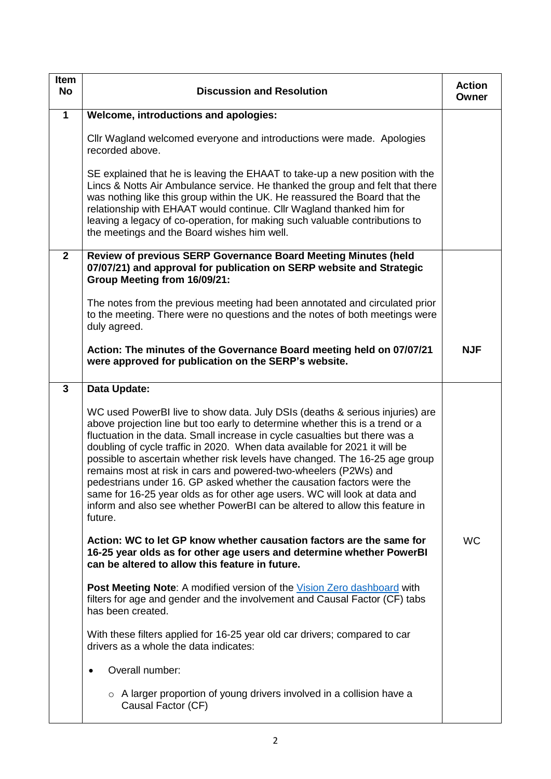| <b>Item</b><br><b>No</b> | <b>Discussion and Resolution</b>                                                                                                                                                                                                                                                                                                                                                                                                                                                                                                                                                                                                                                                                                              | <b>Action</b><br>Owner |
|--------------------------|-------------------------------------------------------------------------------------------------------------------------------------------------------------------------------------------------------------------------------------------------------------------------------------------------------------------------------------------------------------------------------------------------------------------------------------------------------------------------------------------------------------------------------------------------------------------------------------------------------------------------------------------------------------------------------------------------------------------------------|------------------------|
| $\mathbf 1$              | <b>Welcome, introductions and apologies:</b>                                                                                                                                                                                                                                                                                                                                                                                                                                                                                                                                                                                                                                                                                  |                        |
|                          | Cllr Wagland welcomed everyone and introductions were made. Apologies<br>recorded above.                                                                                                                                                                                                                                                                                                                                                                                                                                                                                                                                                                                                                                      |                        |
|                          | SE explained that he is leaving the EHAAT to take-up a new position with the<br>Lincs & Notts Air Ambulance service. He thanked the group and felt that there<br>was nothing like this group within the UK. He reassured the Board that the<br>relationship with EHAAT would continue. Cllr Wagland thanked him for<br>leaving a legacy of co-operation, for making such valuable contributions to<br>the meetings and the Board wishes him well.                                                                                                                                                                                                                                                                             |                        |
| $\overline{2}$           | Review of previous SERP Governance Board Meeting Minutes (held<br>07/07/21) and approval for publication on SERP website and Strategic<br>Group Meeting from 16/09/21:                                                                                                                                                                                                                                                                                                                                                                                                                                                                                                                                                        |                        |
|                          | The notes from the previous meeting had been annotated and circulated prior<br>to the meeting. There were no questions and the notes of both meetings were<br>duly agreed.                                                                                                                                                                                                                                                                                                                                                                                                                                                                                                                                                    |                        |
|                          | Action: The minutes of the Governance Board meeting held on 07/07/21<br>were approved for publication on the SERP's website.                                                                                                                                                                                                                                                                                                                                                                                                                                                                                                                                                                                                  | <b>NJF</b>             |
| 3                        | Data Update:                                                                                                                                                                                                                                                                                                                                                                                                                                                                                                                                                                                                                                                                                                                  |                        |
|                          | WC used PowerBI live to show data. July DSIs (deaths & serious injuries) are<br>above projection line but too early to determine whether this is a trend or a<br>fluctuation in the data. Small increase in cycle casualties but there was a<br>doubling of cycle traffic in 2020. When data available for 2021 it will be<br>possible to ascertain whether risk levels have changed. The 16-25 age group<br>remains most at risk in cars and powered-two-wheelers (P2Ws) and<br>pedestrians under 16. GP asked whether the causation factors were the<br>same for 16-25 year olds as for other age users. WC will look at data and<br>inform and also see whether PowerBI can be altered to allow this feature in<br>future. |                        |
|                          | Action: WC to let GP know whether causation factors are the same for<br>16-25 year olds as for other age users and determine whether PowerBI<br>can be altered to allow this feature in future.                                                                                                                                                                                                                                                                                                                                                                                                                                                                                                                               | <b>WC</b>              |
|                          | <b>Post Meeting Note:</b> A modified version of the <i>Vision Zero dashboard</i> with<br>filters for age and gender and the involvement and Causal Factor (CF) tabs<br>has been created.                                                                                                                                                                                                                                                                                                                                                                                                                                                                                                                                      |                        |
|                          | With these filters applied for 16-25 year old car drivers; compared to car<br>drivers as a whole the data indicates:                                                                                                                                                                                                                                                                                                                                                                                                                                                                                                                                                                                                          |                        |
|                          | Overall number:<br>$\bullet$                                                                                                                                                                                                                                                                                                                                                                                                                                                                                                                                                                                                                                                                                                  |                        |
|                          | o A larger proportion of young drivers involved in a collision have a<br>Causal Factor (CF)                                                                                                                                                                                                                                                                                                                                                                                                                                                                                                                                                                                                                                   |                        |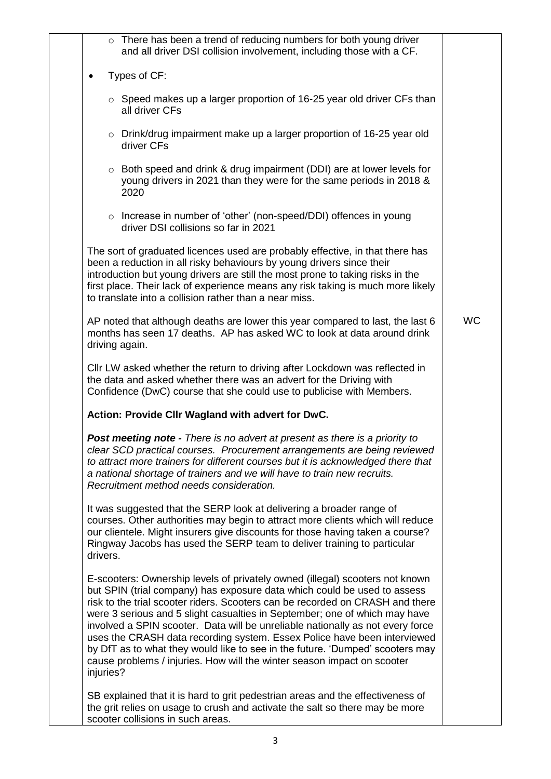| $\circ$ There has been a trend of reducing numbers for both young driver<br>and all driver DSI collision involvement, including those with a CF.                                                                                                                                                                                                                                                                                                                                                                                                                                                                                                               |           |
|----------------------------------------------------------------------------------------------------------------------------------------------------------------------------------------------------------------------------------------------------------------------------------------------------------------------------------------------------------------------------------------------------------------------------------------------------------------------------------------------------------------------------------------------------------------------------------------------------------------------------------------------------------------|-----------|
| Types of CF:<br>$\bullet$                                                                                                                                                                                                                                                                                                                                                                                                                                                                                                                                                                                                                                      |           |
| $\circ$ Speed makes up a larger proportion of 16-25 year old driver CFs than<br>all driver CFs                                                                                                                                                                                                                                                                                                                                                                                                                                                                                                                                                                 |           |
| $\circ$ Drink/drug impairment make up a larger proportion of 16-25 year old<br>driver CFs                                                                                                                                                                                                                                                                                                                                                                                                                                                                                                                                                                      |           |
| ○ Both speed and drink & drug impairment (DDI) are at lower levels for<br>young drivers in 2021 than they were for the same periods in 2018 &<br>2020                                                                                                                                                                                                                                                                                                                                                                                                                                                                                                          |           |
| o Increase in number of 'other' (non-speed/DDI) offences in young<br>driver DSI collisions so far in 2021                                                                                                                                                                                                                                                                                                                                                                                                                                                                                                                                                      |           |
| The sort of graduated licences used are probably effective, in that there has<br>been a reduction in all risky behaviours by young drivers since their<br>introduction but young drivers are still the most prone to taking risks in the<br>first place. Their lack of experience means any risk taking is much more likely<br>to translate into a collision rather than a near miss.                                                                                                                                                                                                                                                                          |           |
| AP noted that although deaths are lower this year compared to last, the last 6<br>months has seen 17 deaths. AP has asked WC to look at data around drink<br>driving again.                                                                                                                                                                                                                                                                                                                                                                                                                                                                                    | <b>WC</b> |
| CIIr LW asked whether the return to driving after Lockdown was reflected in<br>the data and asked whether there was an advert for the Driving with<br>Confidence (DwC) course that she could use to publicise with Members.                                                                                                                                                                                                                                                                                                                                                                                                                                    |           |
| Action: Provide Cllr Wagland with advert for DwC.                                                                                                                                                                                                                                                                                                                                                                                                                                                                                                                                                                                                              |           |
| Post meeting note - There is no advert at present as there is a priority to<br>clear SCD practical courses. Procurement arrangements are being reviewed<br>to attract more trainers for different courses but it is acknowledged there that<br>a national shortage of trainers and we will have to train new recruits.<br>Recruitment method needs consideration.                                                                                                                                                                                                                                                                                              |           |
| It was suggested that the SERP look at delivering a broader range of<br>courses. Other authorities may begin to attract more clients which will reduce<br>our clientele. Might insurers give discounts for those having taken a course?<br>Ringway Jacobs has used the SERP team to deliver training to particular<br>drivers.                                                                                                                                                                                                                                                                                                                                 |           |
| E-scooters: Ownership levels of privately owned (illegal) scooters not known<br>but SPIN (trial company) has exposure data which could be used to assess<br>risk to the trial scooter riders. Scooters can be recorded on CRASH and there<br>were 3 serious and 5 slight casualties in September; one of which may have<br>involved a SPIN scooter. Data will be unreliable nationally as not every force<br>uses the CRASH data recording system. Essex Police have been interviewed<br>by DfT as to what they would like to see in the future. 'Dumped' scooters may<br>cause problems / injuries. How will the winter season impact on scooter<br>injuries? |           |
| SB explained that it is hard to grit pedestrian areas and the effectiveness of<br>the grit relies on usage to crush and activate the salt so there may be more<br>scooter collisions in such areas.                                                                                                                                                                                                                                                                                                                                                                                                                                                            |           |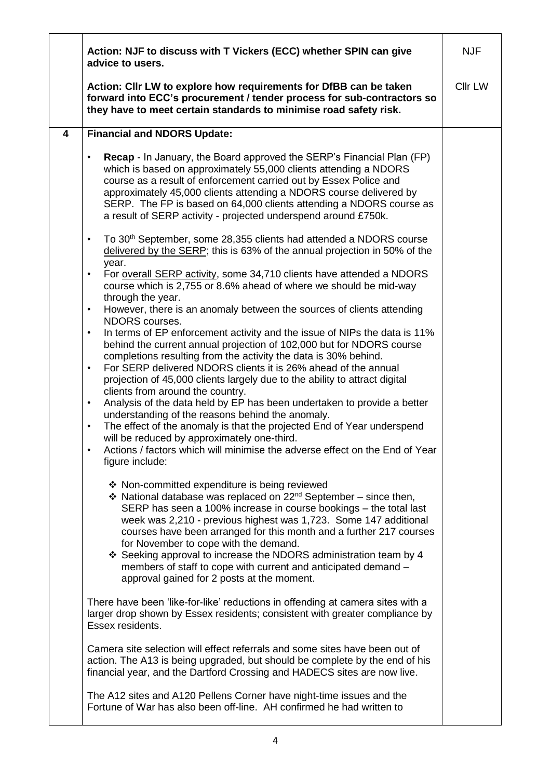|                         | Action: NJF to discuss with T Vickers (ECC) whether SPIN can give<br>advice to users.                                                                                                                                                                                                                                                                                                                                                                                                                                                                                                                                                                                                                                                                                                               | <b>NJF</b>     |
|-------------------------|-----------------------------------------------------------------------------------------------------------------------------------------------------------------------------------------------------------------------------------------------------------------------------------------------------------------------------------------------------------------------------------------------------------------------------------------------------------------------------------------------------------------------------------------------------------------------------------------------------------------------------------------------------------------------------------------------------------------------------------------------------------------------------------------------------|----------------|
|                         | Action: Cllr LW to explore how requirements for DfBB can be taken<br>forward into ECC's procurement / tender process for sub-contractors so<br>they have to meet certain standards to minimise road safety risk.                                                                                                                                                                                                                                                                                                                                                                                                                                                                                                                                                                                    | <b>Cllr LW</b> |
| $\overline{\mathbf{4}}$ | <b>Financial and NDORS Update:</b>                                                                                                                                                                                                                                                                                                                                                                                                                                                                                                                                                                                                                                                                                                                                                                  |                |
|                         | <b>Recap</b> - In January, the Board approved the SERP's Financial Plan (FP)<br>$\bullet$<br>which is based on approximately 55,000 clients attending a NDORS<br>course as a result of enforcement carried out by Essex Police and<br>approximately 45,000 clients attending a NDORS course delivered by<br>SERP. The FP is based on 64,000 clients attending a NDORS course as<br>a result of SERP activity - projected underspend around £750k.                                                                                                                                                                                                                                                                                                                                                   |                |
|                         | To 30 <sup>th</sup> September, some 28,355 clients had attended a NDORS course<br>$\bullet$<br>delivered by the SERP; this is 63% of the annual projection in 50% of the<br>year.                                                                                                                                                                                                                                                                                                                                                                                                                                                                                                                                                                                                                   |                |
|                         | For overall SERP activity, some 34,710 clients have attended a NDORS<br>$\bullet$<br>course which is 2,755 or 8.6% ahead of where we should be mid-way<br>through the year.                                                                                                                                                                                                                                                                                                                                                                                                                                                                                                                                                                                                                         |                |
|                         | However, there is an anomaly between the sources of clients attending<br>$\bullet$<br>NDORS courses.                                                                                                                                                                                                                                                                                                                                                                                                                                                                                                                                                                                                                                                                                                |                |
|                         | In terms of EP enforcement activity and the issue of NIPs the data is 11%<br>$\bullet$<br>behind the current annual projection of 102,000 but for NDORS course<br>completions resulting from the activity the data is 30% behind.<br>For SERP delivered NDORS clients it is 26% ahead of the annual<br>$\bullet$<br>projection of 45,000 clients largely due to the ability to attract digital<br>clients from around the country.<br>Analysis of the data held by EP has been undertaken to provide a better<br>$\bullet$<br>understanding of the reasons behind the anomaly.<br>The effect of the anomaly is that the projected End of Year underspend<br>$\bullet$<br>will be reduced by approximately one-third.<br>Actions / factors which will minimise the adverse effect on the End of Year |                |
|                         | figure include:                                                                                                                                                                                                                                                                                                                                                                                                                                                                                                                                                                                                                                                                                                                                                                                     |                |
|                         | ❖ Non-committed expenditure is being reviewed<br>❖ National database was replaced on 22 <sup>nd</sup> September – since then,<br>SERP has seen a 100% increase in course bookings - the total last<br>week was 2,210 - previous highest was 1,723. Some 147 additional<br>courses have been arranged for this month and a further 217 courses<br>for November to cope with the demand.<br>❖ Seeking approval to increase the NDORS administration team by 4<br>members of staff to cope with current and anticipated demand -<br>approval gained for 2 posts at the moment.                                                                                                                                                                                                                         |                |
|                         | There have been 'like-for-like' reductions in offending at camera sites with a<br>larger drop shown by Essex residents; consistent with greater compliance by<br>Essex residents.                                                                                                                                                                                                                                                                                                                                                                                                                                                                                                                                                                                                                   |                |
|                         | Camera site selection will effect referrals and some sites have been out of<br>action. The A13 is being upgraded, but should be complete by the end of his<br>financial year, and the Dartford Crossing and HADECS sites are now live.                                                                                                                                                                                                                                                                                                                                                                                                                                                                                                                                                              |                |
|                         | The A12 sites and A120 Pellens Corner have night-time issues and the<br>Fortune of War has also been off-line. AH confirmed he had written to                                                                                                                                                                                                                                                                                                                                                                                                                                                                                                                                                                                                                                                       |                |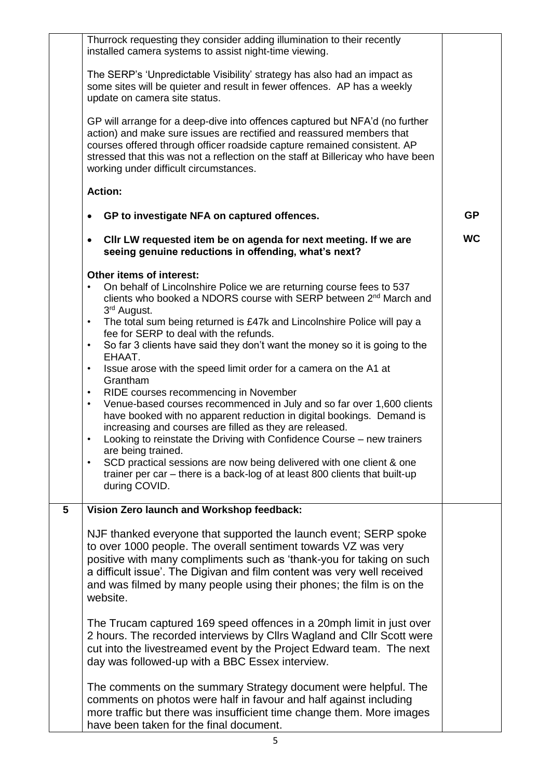|                | Thurrock requesting they consider adding illumination to their recently<br>installed camera systems to assist night-time viewing.                                                                                                                                                                                                                                                         |           |
|----------------|-------------------------------------------------------------------------------------------------------------------------------------------------------------------------------------------------------------------------------------------------------------------------------------------------------------------------------------------------------------------------------------------|-----------|
|                | The SERP's 'Unpredictable Visibility' strategy has also had an impact as<br>some sites will be quieter and result in fewer offences. AP has a weekly<br>update on camera site status.                                                                                                                                                                                                     |           |
|                | GP will arrange for a deep-dive into offences captured but NFA'd (no further<br>action) and make sure issues are rectified and reassured members that<br>courses offered through officer roadside capture remained consistent. AP<br>stressed that this was not a reflection on the staff at Billericay who have been<br>working under difficult circumstances.                           |           |
|                | <b>Action:</b>                                                                                                                                                                                                                                                                                                                                                                            |           |
|                | GP to investigate NFA on captured offences.                                                                                                                                                                                                                                                                                                                                               | <b>GP</b> |
|                | CIIr LW requested item be on agenda for next meeting. If we are<br>seeing genuine reductions in offending, what's next?                                                                                                                                                                                                                                                                   | <b>WC</b> |
|                | Other items of interest:<br>On behalf of Lincolnshire Police we are returning course fees to 537<br>clients who booked a NDORS course with SERP between 2 <sup>nd</sup> March and                                                                                                                                                                                                         |           |
|                | 3 <sup>rd</sup> August.<br>The total sum being returned is £47k and Lincolnshire Police will pay a<br>$\bullet$<br>fee for SERP to deal with the refunds.<br>So far 3 clients have said they don't want the money so it is going to the<br>$\bullet$                                                                                                                                      |           |
|                | EHAAT.<br>Issue arose with the speed limit order for a camera on the A1 at<br>$\bullet$<br>Grantham                                                                                                                                                                                                                                                                                       |           |
|                | RIDE courses recommencing in November<br>$\bullet$<br>Venue-based courses recommenced in July and so far over 1,600 clients<br>$\bullet$<br>have booked with no apparent reduction in digital bookings. Demand is<br>increasing and courses are filled as they are released.<br>Looking to reinstate the Driving with Confidence Course - new trainers<br>$\bullet$<br>are being trained. |           |
|                | SCD practical sessions are now being delivered with one client & one<br>trainer per car – there is a back-log of at least 800 clients that built-up<br>during COVID.                                                                                                                                                                                                                      |           |
| $5\phantom{1}$ | Vision Zero launch and Workshop feedback:                                                                                                                                                                                                                                                                                                                                                 |           |
|                | NJF thanked everyone that supported the launch event; SERP spoke<br>to over 1000 people. The overall sentiment towards VZ was very<br>positive with many compliments such as 'thank-you for taking on such<br>a difficult issue'. The Digivan and film content was very well received<br>and was filmed by many people using their phones; the film is on the<br>website.                 |           |
|                | The Trucam captured 169 speed offences in a 20mph limit in just over<br>2 hours. The recorded interviews by Cllrs Wagland and Cllr Scott were<br>cut into the livestreamed event by the Project Edward team. The next<br>day was followed-up with a BBC Essex interview.                                                                                                                  |           |
|                | The comments on the summary Strategy document were helpful. The<br>comments on photos were half in favour and half against including<br>more traffic but there was insufficient time change them. More images<br>have been taken for the final document.                                                                                                                                  |           |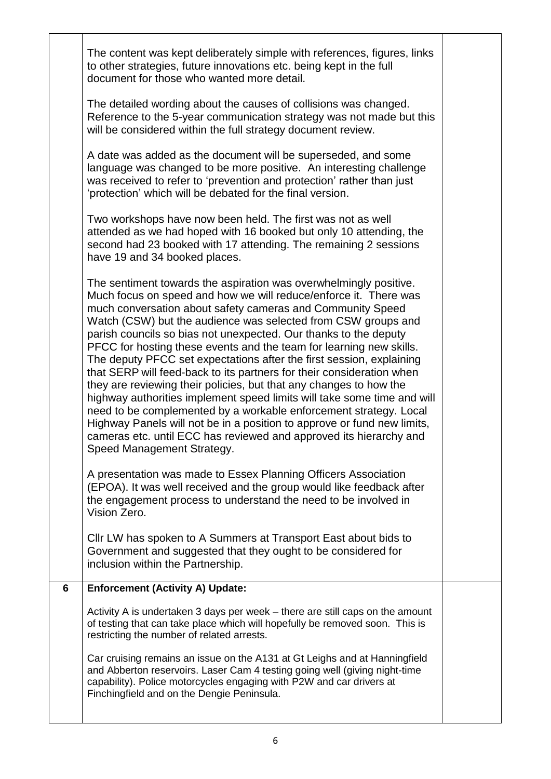|   | The content was kept deliberately simple with references, figures, links<br>to other strategies, future innovations etc. being kept in the full<br>document for those who wanted more detail.                                                                                                                                                                                                                                                                                                                                                                                                                                                                                                                                                                                                                                                                                                                                                                         |  |
|---|-----------------------------------------------------------------------------------------------------------------------------------------------------------------------------------------------------------------------------------------------------------------------------------------------------------------------------------------------------------------------------------------------------------------------------------------------------------------------------------------------------------------------------------------------------------------------------------------------------------------------------------------------------------------------------------------------------------------------------------------------------------------------------------------------------------------------------------------------------------------------------------------------------------------------------------------------------------------------|--|
|   | The detailed wording about the causes of collisions was changed.<br>Reference to the 5-year communication strategy was not made but this<br>will be considered within the full strategy document review.                                                                                                                                                                                                                                                                                                                                                                                                                                                                                                                                                                                                                                                                                                                                                              |  |
|   | A date was added as the document will be superseded, and some<br>language was changed to be more positive. An interesting challenge<br>was received to refer to 'prevention and protection' rather than just<br>'protection' which will be debated for the final version.                                                                                                                                                                                                                                                                                                                                                                                                                                                                                                                                                                                                                                                                                             |  |
|   | Two workshops have now been held. The first was not as well<br>attended as we had hoped with 16 booked but only 10 attending, the<br>second had 23 booked with 17 attending. The remaining 2 sessions<br>have 19 and 34 booked places.                                                                                                                                                                                                                                                                                                                                                                                                                                                                                                                                                                                                                                                                                                                                |  |
|   | The sentiment towards the aspiration was overwhelmingly positive.<br>Much focus on speed and how we will reduce/enforce it. There was<br>much conversation about safety cameras and Community Speed<br>Watch (CSW) but the audience was selected from CSW groups and<br>parish councils so bias not unexpected. Our thanks to the deputy<br>PFCC for hosting these events and the team for learning new skills.<br>The deputy PFCC set expectations after the first session, explaining<br>that SERP will feed-back to its partners for their consideration when<br>they are reviewing their policies, but that any changes to how the<br>highway authorities implement speed limits will take some time and will<br>need to be complemented by a workable enforcement strategy. Local<br>Highway Panels will not be in a position to approve or fund new limits,<br>cameras etc. until ECC has reviewed and approved its hierarchy and<br>Speed Management Strategy. |  |
|   | A presentation was made to Essex Planning Officers Association<br>(EPOA). It was well received and the group would like feedback after<br>the engagement process to understand the need to be involved in<br>Vision Zero.                                                                                                                                                                                                                                                                                                                                                                                                                                                                                                                                                                                                                                                                                                                                             |  |
|   | CIIr LW has spoken to A Summers at Transport East about bids to<br>Government and suggested that they ought to be considered for<br>inclusion within the Partnership.                                                                                                                                                                                                                                                                                                                                                                                                                                                                                                                                                                                                                                                                                                                                                                                                 |  |
| 6 | <b>Enforcement (Activity A) Update:</b>                                                                                                                                                                                                                                                                                                                                                                                                                                                                                                                                                                                                                                                                                                                                                                                                                                                                                                                               |  |
|   | Activity A is undertaken 3 days per week – there are still caps on the amount<br>of testing that can take place which will hopefully be removed soon. This is<br>restricting the number of related arrests.                                                                                                                                                                                                                                                                                                                                                                                                                                                                                                                                                                                                                                                                                                                                                           |  |
|   | Car cruising remains an issue on the A131 at Gt Leighs and at Hanningfield<br>and Abberton reservoirs. Laser Cam 4 testing going well (giving night-time<br>capability). Police motorcycles engaging with P2W and car drivers at<br>Finchingfield and on the Dengie Peninsula.                                                                                                                                                                                                                                                                                                                                                                                                                                                                                                                                                                                                                                                                                        |  |
|   |                                                                                                                                                                                                                                                                                                                                                                                                                                                                                                                                                                                                                                                                                                                                                                                                                                                                                                                                                                       |  |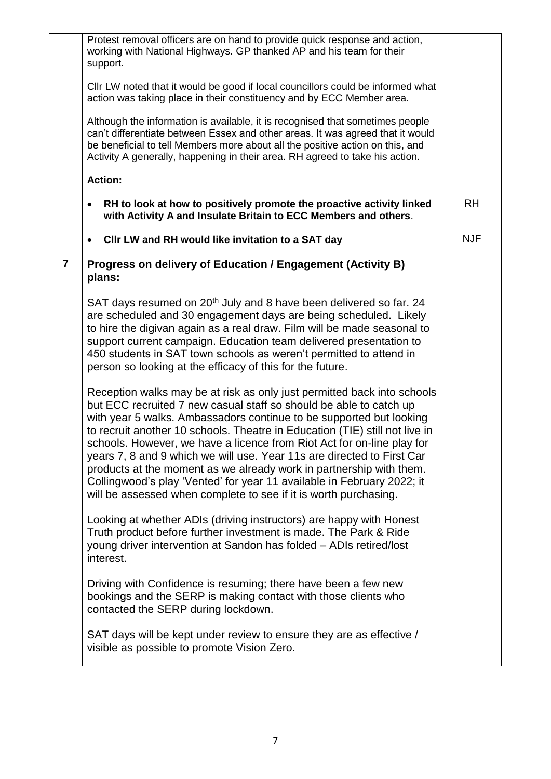|                | Protest removal officers are on hand to provide quick response and action,<br>working with National Highways. GP thanked AP and his team for their<br>support.                                                                                                                                                                                                                                                                                                                                                                                                                                                                                                               |            |
|----------------|------------------------------------------------------------------------------------------------------------------------------------------------------------------------------------------------------------------------------------------------------------------------------------------------------------------------------------------------------------------------------------------------------------------------------------------------------------------------------------------------------------------------------------------------------------------------------------------------------------------------------------------------------------------------------|------------|
|                | Cllr LW noted that it would be good if local councillors could be informed what<br>action was taking place in their constituency and by ECC Member area.                                                                                                                                                                                                                                                                                                                                                                                                                                                                                                                     |            |
|                | Although the information is available, it is recognised that sometimes people<br>can't differentiate between Essex and other areas. It was agreed that it would<br>be beneficial to tell Members more about all the positive action on this, and<br>Activity A generally, happening in their area. RH agreed to take his action.                                                                                                                                                                                                                                                                                                                                             |            |
|                | <b>Action:</b>                                                                                                                                                                                                                                                                                                                                                                                                                                                                                                                                                                                                                                                               |            |
|                | RH to look at how to positively promote the proactive activity linked<br>with Activity A and Insulate Britain to ECC Members and others.                                                                                                                                                                                                                                                                                                                                                                                                                                                                                                                                     | <b>RH</b>  |
|                | CIIr LW and RH would like invitation to a SAT day                                                                                                                                                                                                                                                                                                                                                                                                                                                                                                                                                                                                                            | <b>NJF</b> |
| $\overline{7}$ | Progress on delivery of Education / Engagement (Activity B)<br>plans:                                                                                                                                                                                                                                                                                                                                                                                                                                                                                                                                                                                                        |            |
|                | SAT days resumed on 20 <sup>th</sup> July and 8 have been delivered so far. 24<br>are scheduled and 30 engagement days are being scheduled. Likely<br>to hire the digivan again as a real draw. Film will be made seasonal to<br>support current campaign. Education team delivered presentation to<br>450 students in SAT town schools as weren't permitted to attend in<br>person so looking at the efficacy of this for the future.                                                                                                                                                                                                                                       |            |
|                | Reception walks may be at risk as only just permitted back into schools<br>but ECC recruited 7 new casual staff so should be able to catch up<br>with year 5 walks. Ambassadors continue to be supported but looking<br>to recruit another 10 schools. Theatre in Education (TIE) still not live in<br>schools. However, we have a licence from Riot Act for on-line play for<br>years 7, 8 and 9 which we will use. Year 11s are directed to First Car<br>products at the moment as we already work in partnership with them.<br>Collingwood's play 'Vented' for year 11 available in February 2022; it<br>will be assessed when complete to see if it is worth purchasing. |            |
|                | Looking at whether ADIs (driving instructors) are happy with Honest<br>Truth product before further investment is made. The Park & Ride<br>young driver intervention at Sandon has folded - ADIs retired/lost<br>interest.                                                                                                                                                                                                                                                                                                                                                                                                                                                   |            |
|                | Driving with Confidence is resuming; there have been a few new<br>bookings and the SERP is making contact with those clients who<br>contacted the SERP during lockdown.                                                                                                                                                                                                                                                                                                                                                                                                                                                                                                      |            |
|                | SAT days will be kept under review to ensure they are as effective /<br>visible as possible to promote Vision Zero.                                                                                                                                                                                                                                                                                                                                                                                                                                                                                                                                                          |            |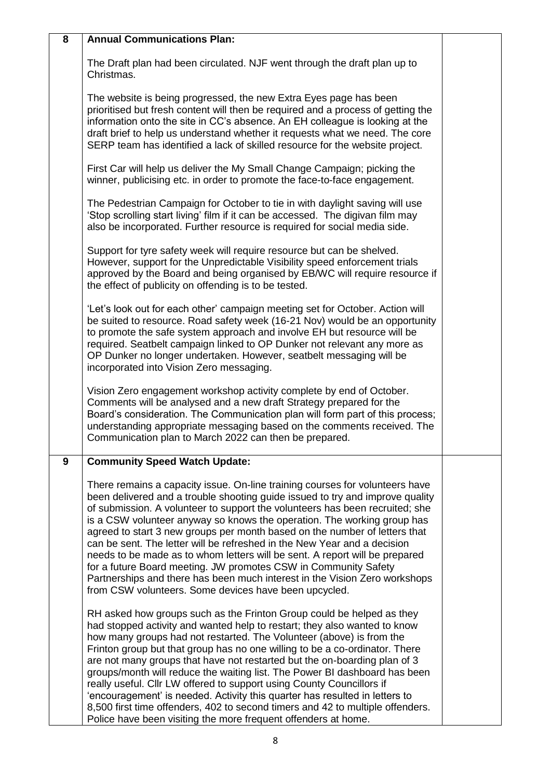| 8 | <b>Annual Communications Plan:</b>                                                                                                                                                                                                                                                                                                                                                                                                                                                                                                                                                                                                                                                                                                                                               |  |
|---|----------------------------------------------------------------------------------------------------------------------------------------------------------------------------------------------------------------------------------------------------------------------------------------------------------------------------------------------------------------------------------------------------------------------------------------------------------------------------------------------------------------------------------------------------------------------------------------------------------------------------------------------------------------------------------------------------------------------------------------------------------------------------------|--|
|   | The Draft plan had been circulated. NJF went through the draft plan up to<br>Christmas.                                                                                                                                                                                                                                                                                                                                                                                                                                                                                                                                                                                                                                                                                          |  |
|   | The website is being progressed, the new Extra Eyes page has been<br>prioritised but fresh content will then be required and a process of getting the<br>information onto the site in CC's absence. An EH colleague is looking at the<br>draft brief to help us understand whether it requests what we need. The core<br>SERP team has identified a lack of skilled resource for the website project.                                                                                                                                                                                                                                                                                                                                                                            |  |
|   | First Car will help us deliver the My Small Change Campaign; picking the<br>winner, publicising etc. in order to promote the face-to-face engagement.                                                                                                                                                                                                                                                                                                                                                                                                                                                                                                                                                                                                                            |  |
|   | The Pedestrian Campaign for October to tie in with daylight saving will use<br>'Stop scrolling start living' film if it can be accessed. The digivan film may<br>also be incorporated. Further resource is required for social media side.                                                                                                                                                                                                                                                                                                                                                                                                                                                                                                                                       |  |
|   | Support for tyre safety week will require resource but can be shelved.<br>However, support for the Unpredictable Visibility speed enforcement trials<br>approved by the Board and being organised by EB/WC will require resource if<br>the effect of publicity on offending is to be tested.                                                                                                                                                                                                                                                                                                                                                                                                                                                                                     |  |
|   | 'Let's look out for each other' campaign meeting set for October. Action will<br>be suited to resource. Road safety week (16-21 Nov) would be an opportunity<br>to promote the safe system approach and involve EH but resource will be<br>required. Seatbelt campaign linked to OP Dunker not relevant any more as<br>OP Dunker no longer undertaken. However, seatbelt messaging will be<br>incorporated into Vision Zero messaging.                                                                                                                                                                                                                                                                                                                                           |  |
|   | Vision Zero engagement workshop activity complete by end of October.<br>Comments will be analysed and a new draft Strategy prepared for the<br>Board's consideration. The Communication plan will form part of this process;<br>understanding appropriate messaging based on the comments received. The<br>Communication plan to March 2022 can then be prepared.                                                                                                                                                                                                                                                                                                                                                                                                                |  |
| 9 | <b>Community Speed Watch Update:</b>                                                                                                                                                                                                                                                                                                                                                                                                                                                                                                                                                                                                                                                                                                                                             |  |
|   | There remains a capacity issue. On-line training courses for volunteers have<br>been delivered and a trouble shooting guide issued to try and improve quality<br>of submission. A volunteer to support the volunteers has been recruited; she<br>is a CSW volunteer anyway so knows the operation. The working group has<br>agreed to start 3 new groups per month based on the number of letters that<br>can be sent. The letter will be refreshed in the New Year and a decision<br>needs to be made as to whom letters will be sent. A report will be prepared<br>for a future Board meeting. JW promotes CSW in Community Safety<br>Partnerships and there has been much interest in the Vision Zero workshops<br>from CSW volunteers. Some devices have been upcycled.      |  |
|   | RH asked how groups such as the Frinton Group could be helped as they<br>had stopped activity and wanted help to restart; they also wanted to know<br>how many groups had not restarted. The Volunteer (above) is from the<br>Frinton group but that group has no one willing to be a co-ordinator. There<br>are not many groups that have not restarted but the on-boarding plan of 3<br>groups/month will reduce the waiting list. The Power BI dashboard has been<br>really useful. Cllr LW offered to support using County Councillors if<br>'encouragement' is needed. Activity this quarter has resulted in letters to<br>8,500 first time offenders, 402 to second timers and 42 to multiple offenders.<br>Police have been visiting the more frequent offenders at home. |  |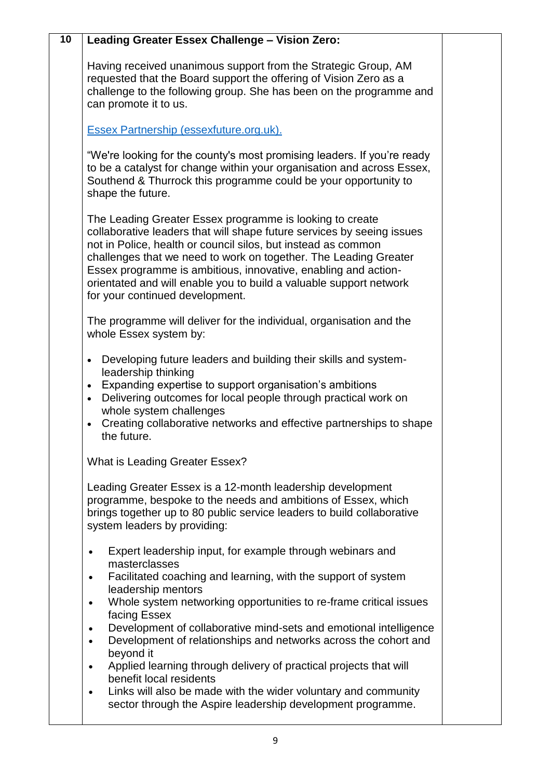| $\overline{10}$ | Leading Greater Essex Challenge - Vision Zero:                                                                                                                                                                                                                                                                                                                                                                                                     |  |
|-----------------|----------------------------------------------------------------------------------------------------------------------------------------------------------------------------------------------------------------------------------------------------------------------------------------------------------------------------------------------------------------------------------------------------------------------------------------------------|--|
|                 | Having received unanimous support from the Strategic Group, AM<br>requested that the Board support the offering of Vision Zero as a<br>challenge to the following group. She has been on the programme and<br>can promote it to us.                                                                                                                                                                                                                |  |
|                 | Essex Partnership (essexfuture.org.uk).                                                                                                                                                                                                                                                                                                                                                                                                            |  |
|                 | "We're looking for the county's most promising leaders. If you're ready<br>to be a catalyst for change within your organisation and across Essex,<br>Southend & Thurrock this programme could be your opportunity to<br>shape the future.                                                                                                                                                                                                          |  |
|                 | The Leading Greater Essex programme is looking to create<br>collaborative leaders that will shape future services by seeing issues<br>not in Police, health or council silos, but instead as common<br>challenges that we need to work on together. The Leading Greater<br>Essex programme is ambitious, innovative, enabling and action-<br>orientated and will enable you to build a valuable support network<br>for your continued development. |  |
|                 | The programme will deliver for the individual, organisation and the<br>whole Essex system by:                                                                                                                                                                                                                                                                                                                                                      |  |
|                 | Developing future leaders and building their skills and system-<br>$\bullet$<br>leadership thinking<br>Expanding expertise to support organisation's ambitions<br>$\bullet$<br>Delivering outcomes for local people through practical work on<br>$\bullet$<br>whole system challenges<br>Creating collaborative networks and effective partnerships to shape<br>$\bullet$<br>the future.                                                           |  |
|                 | What is Leading Greater Essex?                                                                                                                                                                                                                                                                                                                                                                                                                     |  |
|                 | Leading Greater Essex is a 12-month leadership development<br>programme, bespoke to the needs and ambitions of Essex, which<br>brings together up to 80 public service leaders to build collaborative<br>system leaders by providing:                                                                                                                                                                                                              |  |
|                 | Expert leadership input, for example through webinars and<br>$\bullet$<br>masterclasses<br>Facilitated coaching and learning, with the support of system<br>$\bullet$<br>leadership mentors<br>Whole system networking opportunities to re-frame critical issues<br>$\bullet$                                                                                                                                                                      |  |
|                 | facing Essex<br>Development of collaborative mind-sets and emotional intelligence<br>$\bullet$<br>Development of relationships and networks across the cohort and<br>$\bullet$<br>beyond it                                                                                                                                                                                                                                                        |  |
|                 | Applied learning through delivery of practical projects that will<br>$\bullet$<br>benefit local residents                                                                                                                                                                                                                                                                                                                                          |  |
|                 | Links will also be made with the wider voluntary and community<br>$\bullet$<br>sector through the Aspire leadership development programme.                                                                                                                                                                                                                                                                                                         |  |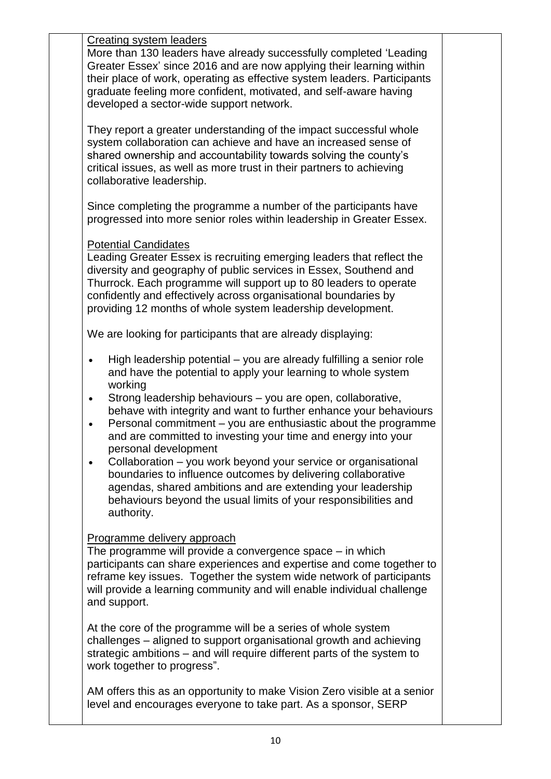Creating system leaders

More than 130 leaders have already successfully completed 'Leading Greater Essex' since 2016 and are now applying their learning within their place of work, operating as effective system leaders. Participants graduate feeling more confident, motivated, and self-aware having developed a sector-wide support network.

They report a greater understanding of the impact successful whole system collaboration can achieve and have an increased sense of shared ownership and accountability towards solving the county's critical issues, as well as more trust in their partners to achieving collaborative leadership.

Since completing the programme a number of the participants have progressed into more senior roles within leadership in Greater Essex.

#### Potential Candidates

Leading Greater Essex is recruiting emerging leaders that reflect the diversity and geography of public services in Essex, Southend and Thurrock. Each programme will support up to 80 leaders to operate confidently and effectively across organisational boundaries by providing 12 months of whole system leadership development.

We are looking for participants that are already displaying:

- High leadership potential you are already fulfilling a senior role and have the potential to apply your learning to whole system working
- Strong leadership behaviours you are open, collaborative, behave with integrity and want to further enhance your behaviours
- Personal commitment you are enthusiastic about the programme and are committed to investing your time and energy into your personal development
- Collaboration you work beyond your service or organisational boundaries to influence outcomes by delivering collaborative agendas, shared ambitions and are extending your leadership behaviours beyond the usual limits of your responsibilities and authority.

## Programme delivery approach

The programme will provide a convergence space – in which participants can share experiences and expertise and come together to reframe key issues. Together the system wide network of participants will provide a learning community and will enable individual challenge and support.

At the core of the programme will be a series of whole system challenges – aligned to support organisational growth and achieving strategic ambitions – and will require different parts of the system to work together to progress".

AM offers this as an opportunity to make Vision Zero visible at a senior level and encourages everyone to take part. As a sponsor, SERP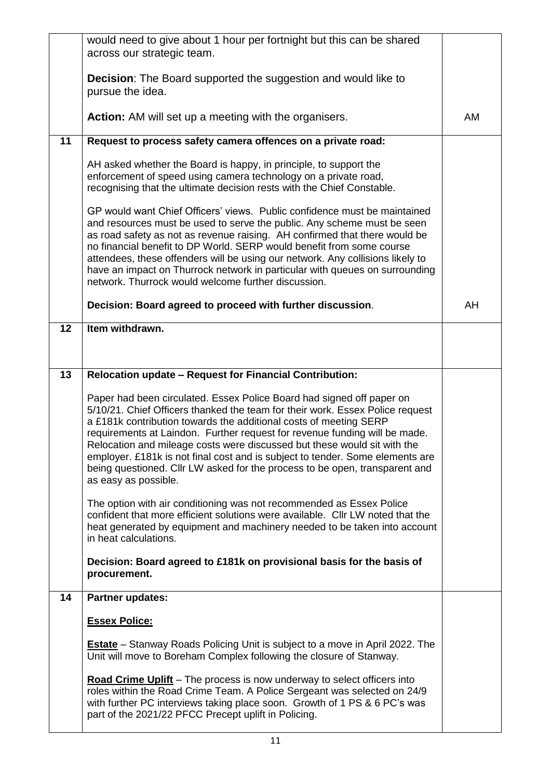|    | would need to give about 1 hour per fortnight but this can be shared<br>across our strategic team.                                                                                                                                                                                                                                                                                                                                                                                                                                                                            |    |
|----|-------------------------------------------------------------------------------------------------------------------------------------------------------------------------------------------------------------------------------------------------------------------------------------------------------------------------------------------------------------------------------------------------------------------------------------------------------------------------------------------------------------------------------------------------------------------------------|----|
|    | <b>Decision:</b> The Board supported the suggestion and would like to<br>pursue the idea.                                                                                                                                                                                                                                                                                                                                                                                                                                                                                     |    |
|    | <b>Action:</b> AM will set up a meeting with the organisers.                                                                                                                                                                                                                                                                                                                                                                                                                                                                                                                  | AM |
| 11 | Request to process safety camera offences on a private road:                                                                                                                                                                                                                                                                                                                                                                                                                                                                                                                  |    |
|    | AH asked whether the Board is happy, in principle, to support the<br>enforcement of speed using camera technology on a private road,<br>recognising that the ultimate decision rests with the Chief Constable.                                                                                                                                                                                                                                                                                                                                                                |    |
|    | GP would want Chief Officers' views. Public confidence must be maintained<br>and resources must be used to serve the public. Any scheme must be seen<br>as road safety as not as revenue raising. AH confirmed that there would be<br>no financial benefit to DP World. SERP would benefit from some course<br>attendees, these offenders will be using our network. Any collisions likely to<br>have an impact on Thurrock network in particular with queues on surrounding<br>network. Thurrock would welcome further discussion.                                           |    |
|    | Decision: Board agreed to proceed with further discussion.                                                                                                                                                                                                                                                                                                                                                                                                                                                                                                                    | AH |
| 12 | Item withdrawn.                                                                                                                                                                                                                                                                                                                                                                                                                                                                                                                                                               |    |
|    |                                                                                                                                                                                                                                                                                                                                                                                                                                                                                                                                                                               |    |
| 13 | Relocation update - Request for Financial Contribution:                                                                                                                                                                                                                                                                                                                                                                                                                                                                                                                       |    |
|    | Paper had been circulated. Essex Police Board had signed off paper on<br>5/10/21. Chief Officers thanked the team for their work. Essex Police request<br>a £181k contribution towards the additional costs of meeting SERP<br>requirements at Laindon. Further request for revenue funding will be made.<br>Relocation and mileage costs were discussed but these would sit with the<br>employer. £181k is not final cost and is subject to tender. Some elements are<br>being questioned. Cllr LW asked for the process to be open, transparent and<br>as easy as possible. |    |
|    | The option with air conditioning was not recommended as Essex Police<br>confident that more efficient solutions were available. Cllr LW noted that the<br>heat generated by equipment and machinery needed to be taken into account<br>in heat calculations.                                                                                                                                                                                                                                                                                                                  |    |
|    | Decision: Board agreed to £181k on provisional basis for the basis of<br>procurement.                                                                                                                                                                                                                                                                                                                                                                                                                                                                                         |    |
| 14 | Partner updates:                                                                                                                                                                                                                                                                                                                                                                                                                                                                                                                                                              |    |
|    | <b>Essex Police:</b>                                                                                                                                                                                                                                                                                                                                                                                                                                                                                                                                                          |    |
|    | <b>Estate</b> – Stanway Roads Policing Unit is subject to a move in April 2022. The<br>Unit will move to Boreham Complex following the closure of Stanway.                                                                                                                                                                                                                                                                                                                                                                                                                    |    |
|    | <b>Road Crime Uplift</b> – The process is now underway to select officers into<br>roles within the Road Crime Team. A Police Sergeant was selected on 24/9<br>with further PC interviews taking place soon. Growth of 1 PS & 6 PC's was<br>part of the 2021/22 PFCC Precept uplift in Policing.                                                                                                                                                                                                                                                                               |    |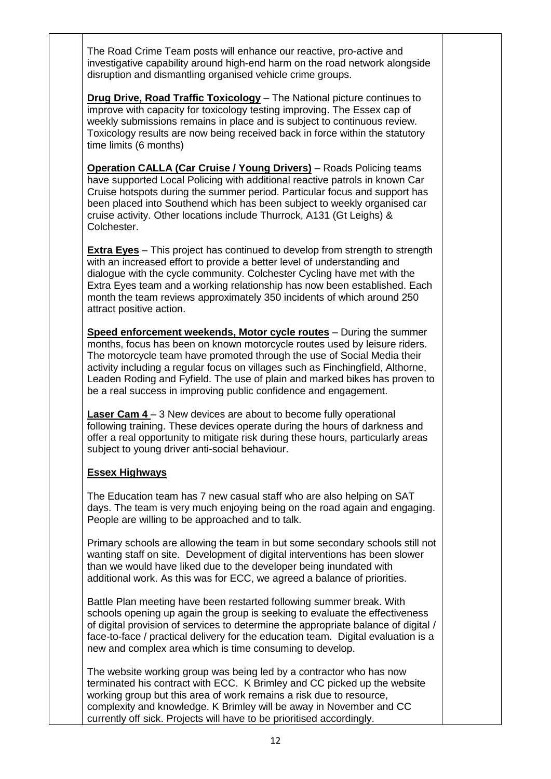The Road Crime Team posts will enhance our reactive, pro-active and investigative capability around high-end harm on the road network alongside disruption and dismantling organised vehicle crime groups.

**Drug Drive, Road Traffic Toxicology** – The National picture continues to improve with capacity for toxicology testing improving. The Essex cap of weekly submissions remains in place and is subject to continuous review. Toxicology results are now being received back in force within the statutory time limits (6 months)

**Operation CALLA (Car Cruise / Young Drivers)** – Roads Policing teams have supported Local Policing with additional reactive patrols in known Car Cruise hotspots during the summer period. Particular focus and support has been placed into Southend which has been subject to weekly organised car cruise activity. Other locations include Thurrock, A131 (Gt Leighs) & Colchester.

**Extra Eyes** – This project has continued to develop from strength to strength with an increased effort to provide a better level of understanding and dialogue with the cycle community. Colchester Cycling have met with the Extra Eyes team and a working relationship has now been established. Each month the team reviews approximately 350 incidents of which around 250 attract positive action.

**Speed enforcement weekends, Motor cycle routes** – During the summer months, focus has been on known motorcycle routes used by leisure riders. The motorcycle team have promoted through the use of Social Media their activity including a regular focus on villages such as Finchingfield, Althorne, Leaden Roding and Fyfield. The use of plain and marked bikes has proven to be a real success in improving public confidence and engagement.

**Laser Cam 4** – 3 New devices are about to become fully operational following training. These devices operate during the hours of darkness and offer a real opportunity to mitigate risk during these hours, particularly areas subject to young driver anti-social behaviour.

#### **Essex Highways**

The Education team has 7 new casual staff who are also helping on SAT days. The team is very much enjoying being on the road again and engaging. People are willing to be approached and to talk.

Primary schools are allowing the team in but some secondary schools still not wanting staff on site. Development of digital interventions has been slower than we would have liked due to the developer being inundated with additional work. As this was for ECC, we agreed a balance of priorities.

Battle Plan meeting have been restarted following summer break. With schools opening up again the group is seeking to evaluate the effectiveness of digital provision of services to determine the appropriate balance of digital / face-to-face / practical delivery for the education team. Digital evaluation is a new and complex area which is time consuming to develop.

The website working group was being led by a contractor who has now terminated his contract with ECC. K Brimley and CC picked up the website working group but this area of work remains a risk due to resource, complexity and knowledge. K Brimley will be away in November and CC currently off sick. Projects will have to be prioritised accordingly.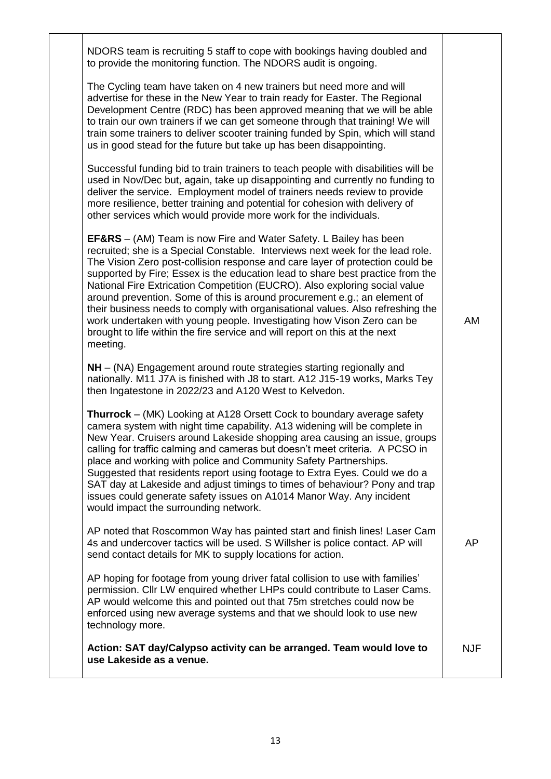| NDORS team is recruiting 5 staff to cope with bookings having doubled and<br>to provide the monitoring function. The NDORS audit is ongoing.                                                                                                                                                                                                                                                                                                                                                                                                                                                                                                                                                                                                        |            |
|-----------------------------------------------------------------------------------------------------------------------------------------------------------------------------------------------------------------------------------------------------------------------------------------------------------------------------------------------------------------------------------------------------------------------------------------------------------------------------------------------------------------------------------------------------------------------------------------------------------------------------------------------------------------------------------------------------------------------------------------------------|------------|
| The Cycling team have taken on 4 new trainers but need more and will<br>advertise for these in the New Year to train ready for Easter. The Regional<br>Development Centre (RDC) has been approved meaning that we will be able<br>to train our own trainers if we can get someone through that training! We will<br>train some trainers to deliver scooter training funded by Spin, which will stand<br>us in good stead for the future but take up has been disappointing.                                                                                                                                                                                                                                                                         |            |
| Successful funding bid to train trainers to teach people with disabilities will be<br>used in Nov/Dec but, again, take up disappointing and currently no funding to<br>deliver the service. Employment model of trainers needs review to provide<br>more resilience, better training and potential for cohesion with delivery of<br>other services which would provide more work for the individuals.                                                                                                                                                                                                                                                                                                                                               |            |
| <b>EF&amp;RS</b> – (AM) Team is now Fire and Water Safety. L Bailey has been<br>recruited; she is a Special Constable. Interviews next week for the lead role.<br>The Vision Zero post-collision response and care layer of protection could be<br>supported by Fire; Essex is the education lead to share best practice from the<br>National Fire Extrication Competition (EUCRO). Also exploring social value<br>around prevention. Some of this is around procurement e.g.; an element of<br>their business needs to comply with organisational values. Also refreshing the<br>work undertaken with young people. Investigating how Vison Zero can be<br>brought to life within the fire service and will report on this at the next<br>meeting. | AM         |
| NH – (NA) Engagement around route strategies starting regionally and<br>nationally. M11 J7A is finished with J8 to start. A12 J15-19 works, Marks Tey<br>then Ingatestone in 2022/23 and A120 West to Kelvedon.                                                                                                                                                                                                                                                                                                                                                                                                                                                                                                                                     |            |
| <b>Thurrock</b> – (MK) Looking at A128 Orsett Cock to boundary average safety<br>camera system with night time capability. A13 widening will be complete in<br>New Year. Cruisers around Lakeside shopping area causing an issue, groups<br>calling for traffic calming and cameras but doesn't meet criteria. A PCSO in<br>place and working with police and Community Safety Partnerships.<br>Suggested that residents report using footage to Extra Eyes. Could we do a<br>SAT day at Lakeside and adjust timings to times of behaviour? Pony and trap<br>issues could generate safety issues on A1014 Manor Way. Any incident<br>would impact the surrounding network.                                                                          |            |
| AP noted that Roscommon Way has painted start and finish lines! Laser Cam<br>4s and undercover tactics will be used. S Willsher is police contact. AP will<br>send contact details for MK to supply locations for action.                                                                                                                                                                                                                                                                                                                                                                                                                                                                                                                           | AP         |
| AP hoping for footage from young driver fatal collision to use with families'<br>permission. Cllr LW enquired whether LHPs could contribute to Laser Cams.<br>AP would welcome this and pointed out that 75m stretches could now be<br>enforced using new average systems and that we should look to use new<br>technology more.                                                                                                                                                                                                                                                                                                                                                                                                                    |            |
| Action: SAT day/Calypso activity can be arranged. Team would love to<br>use Lakeside as a venue.                                                                                                                                                                                                                                                                                                                                                                                                                                                                                                                                                                                                                                                    | <b>NJF</b> |
|                                                                                                                                                                                                                                                                                                                                                                                                                                                                                                                                                                                                                                                                                                                                                     |            |